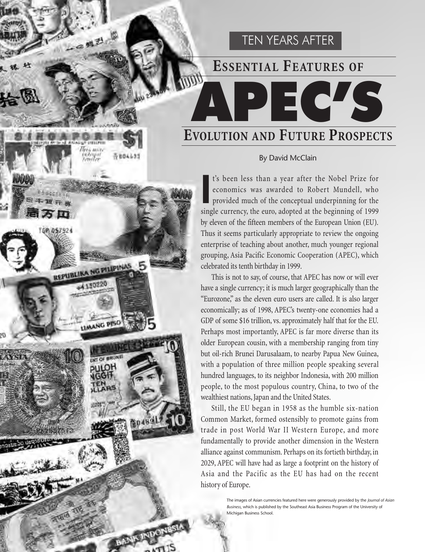# **ESSENTIAL FEATURES OF**

APEC'S

TEN YEARS AFTER

# **EVOLUTION AND FUTURE PROSPECTS**

 $341.77$ 

**REPUBLIKA NG PILIPINAS** 

**AANG PISC** 

**DESCRIPTION** 

# By David McClain

I's been less than a year after the Nobel Prize for economics was awarded to Robert Mundell, who provided much of the conceptual underpinning for the single currency, the euro, adopted at the beginning of 1999 t's been less than a year after the Nobel Prize for economics was awarded to Robert Mundell, who provided much of the conceptual underpinning for the by eleven of the fifteen members of the European Union (EU). Thus it seems particularly appropriate to review the ongoing enterprise of teaching about another, much younger regional grouping, Asia Pacific Economic Cooperation (APEC), which celebrated its tenth birthday in 1999.

This is not to say, of course, that APEC has now or will ever have a single currency; it is much larger geographically than the "Eurozone," as the eleven euro users are called. It is also larger economically; as of 1998, APEC's twenty-one economies had a GDP of some \$16 trillion, vs. approximately half that for the EU. Perhaps most importantly, APEC is far more diverse than its older European cousin, with a membership ranging from tiny but oil-rich Brunei Darusalaam, to nearby Papua New Guinea, with a population of three million people speaking several hundred languages, to its neighbor Indonesia, with 200 million people, to the most populous country, China, to two of the wealthiest nations, Japan and the United States.

Still, the EU began in 1958 as the humble six-nation Common Market, formed ostensibly to promote gains from trade in post World War II Western Europe, and more fundamentally to provide another dimension in the Western alliance against communism. Perhaps on its fortieth birthday, in 2029, APEC will have had as large a footprint on the history of Asia and the Pacific as the EU has had on the recent history of Europe.

> The images of Asian currencies featured here were generously provided by the *Journal of Asian Business*, which is published by the Southeast Asia Business Program of the University of Michigan Business School.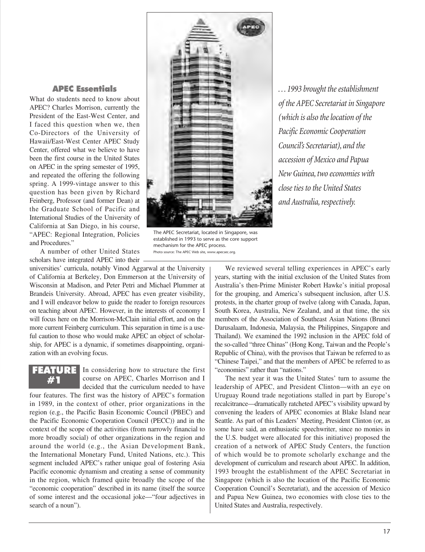# APEC Essentials

What do students need to know about APEC? Charles Morrison, currently the President of the East-West Center, and I faced this question when we, then Co-Directors of the University of Hawaii/East-West Center APEC Study Center, offered what we believe to have been the first course in the United States on APEC in the spring semester of 1995, and repeated the offering the following spring. A 1999-vintage answer to this question has been given by Richard Feinberg, Professor (and former Dean) at the Graduate School of Pacific and International Studies of the University of California at San Diego, in his course, "APEC: Regional Integration, Policies and Procedures."

A number of other United States scholars have integrated APEC into their

universities' curricula, notably Vinod Aggarwal at the University of California at Berkeley, Don Emmerson at the University of Wisconsin at Madison, and Peter Petri and Michael Plummer at Brandeis University. Abroad, APEC has even greater visibility, and I will endeavor below to guide the reader to foreign resources on teaching about APEC. However, in the interests of economy I will focus here on the Morrison-McClain initial effort, and on the more current Feinberg curriculum. This separation in time is a useful caution to those who would make APEC an object of scholarship, for APEC is a dynamic, if sometimes disappointing, organization with an evolving focus.

FEATURE #1

In considering how to structure the first course on APEC, Charles Morrison and I decided that the curriculum needed to have

four features. The first was the history of APEC's formation in 1989, in the context of other, prior organizations in the region (e.g., the Pacific Basin Economic Council (PBEC) and the Pacific Economic Cooperation Council (PECC)) and in the context of the scope of the activities (from narrowly financial to more broadly social) of other organizations in the region and around the world (e.g., the Asian Development Bank, the International Monetary Fund, United Nations, etc.). This segment included APEC's rather unique goal of fostering Asia Pacific economic dynamism and creating a sense of community in the region, which framed quite broadly the scope of the "economic cooperation" described in its name (itself the source of some interest and the occasional joke—"four adjectives in search of a noun").



The APEC Secretariat, located in Singapore, was established in 1993 to serve as the core support mechanism for the APEC process. Photo source: The APEC Web site, www.apecsec.org.

*. . . 1993 brought the establishment of the APEC Secretariat in Singapore (which is also the location of the Pacific Economic Cooperation Council's Secretariat), and the accession of Mexico and Papua New Guinea, two economies with close ties to the United States and Australia, respectively.*

We reviewed several telling experiences in APEC's early years, starting with the initial exclusion of the United States from Australia's then-Prime Minister Robert Hawke's initial proposal for the grouping, and America's subsequent inclusion, after U.S. protests, in the charter group of twelve (along with Canada, Japan, South Korea, Australia, New Zealand, and at that time, the six members of the Association of Southeast Asian Nations (Brunei Darusalaam, Indonesia, Malaysia, the Philippines, Singapore and Thailand). We examined the 1992 inclusion in the APEC fold of the so-called "three Chinas" (Hong Kong, Taiwan and the People's Republic of China), with the provisos that Taiwan be referred to as "Chinese Taipei," and that the members of APEC be referred to as "economies" rather than "nations."

The next year it was the United States' turn to assume the leadership of APEC, and President Clinton—with an eye on Uruguay Round trade negotiations stalled in part by Europe's recalcitrance—dramatically ratcheted APEC's visibility upward by convening the leaders of APEC economies at Blake Island near Seattle. As part of this Leaders' Meeting, President Clinton (or, as some have said, an enthusiastic speechwriter, since no monies in the U.S. budget were allocated for this initiative) proposed the creation of a network of APEC Study Centers, the function of which would be to promote scholarly exchange and the development of curriculum and research about APEC. In addition, 1993 brought the establishment of the APEC Secretariat in Singapore (which is also the location of the Pacific Economic Cooperation Council's Secretariat), and the accession of Mexico and Papua New Guinea, two economies with close ties to the United States and Australia, respectively.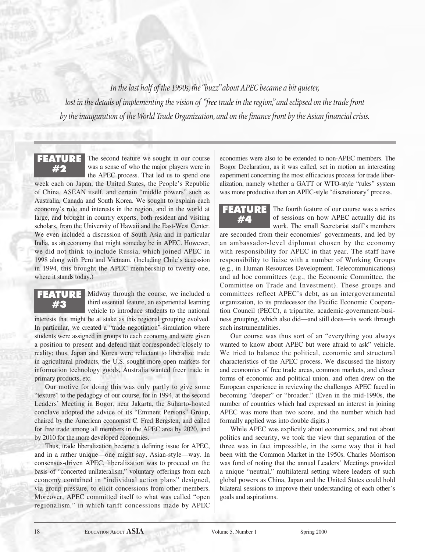*In the last half of the 1990s, the "buzz" about APEC became a bit quieter,*  lost in the details of implementing the vision of "free trade in the region," and eclipsed on the trade front *by the inauguration of the World Trade Organization, and on the finance front by the Asian financial crisis.*

FEATURE #2

The second feature we sought in our course was a sense of who the major players were in the APEC process. That led us to spend one

week each on Japan, the United States, the People's Republic of China, ASEAN itself, and certain "middle powers" such as Australia, Canada and South Korea. We sought to explain each economy's role and interests in the region, and in the world at large, and brought in country experts, both resident and visiting scholars, from the University of Hawaii and the East-West Center. We even included a discussion of South Asia and in particular India, as an economy that might someday be in APEC. However, we did not think to include Russia, which joined APEC in 1998 along with Peru and Vietnam. (Including Chile's accession in 1994, this brought the APEC membership to twenty-one, where it stands today.)

# FEATURE #3

Midway through the course, we included a third essential feature, an experiential learning vehicle to introduce students to the national

interests that might be at stake as this regional grouping evolved. In particular, we created a "trade negotiation" simulation where students were assigned in groups to each economy and were given a position to present and defend that corresponded closely to reality; thus, Japan and Korea were reluctant to liberalize trade in agricultural products, the U.S. sought more open markets for information technology goods, Australia wanted freer trade in primary products, etc.

Our motive for doing this was only partly to give some "texture" to the pedagogy of our course, for in 1994, at the second Leaders' Meeting in Bogor, near Jakarta, the Suharto-hosted conclave adopted the advice of its "Eminent Persons" Group, chaired by the American economist C. Fred Bergsten, and called for free trade among all members in the APEC area by 2020, and by 2010 for the more developed economies.

Thus, trade liberalization became a defining issue for APEC, and in a rather unique—one might say, Asian-style—way. In consensus-driven APEC, liberalization was to proceed on the basis of "concerted unilateralism," voluntary offerings from each economy contained in "individual action plans" designed, via group pressure, to elicit concessions from other members. Moreover, APEC committed itself to what was called "open regionalism," in which tariff concessions made by APEC economies were also to be extended to non-APEC members. The Bogor Declaration, as it was called, set in motion an interesting experiment concerning the most efficacious process for trade liberalization, namely whether a GATT or WTO-style "rules" system was more productive than an APEC-style "discretionary" process.

FEATURE #4

The fourth feature of our course was a series of sessions on how APEC actually did its work. The small Secretariat staff's members

are seconded from their economies' governments, and led by an ambassador-level diplomat chosen by the economy with responsibility for APEC in that year. The staff have responsibility to liaise with a number of Working Groups (e.g., in Human Resources Development, Telecommunications) and ad hoc committees (e.g., the Economic Committee, the Committee on Trade and Investment). These groups and committees reflect APEC's debt, as an intergovernmental organization, to its predecessor the Pacific Economic Cooperation Council (PECC), a tripartite, academic-government-business grouping, which also did—and still does—its work through such instrumentalities.

Our course was thus sort of an "everything you always wanted to know about APEC but were afraid to ask" vehicle. We tried to balance the political, economic and structural characteristics of the APEC process. We discussed the history and economics of free trade areas, common markets, and closer forms of economic and political union, and often drew on the European experience in reviewing the challenges APEC faced in becoming "deeper" or "broader." (Even in the mid-1990s, the number of countries which had expressed an interest in joining APEC was more than two score, and the number which had formally applied was into double digits.)

While APEC was explicitly about economics, and not about politics and security, we took the view that separation of the three was in fact impossible, in the same way that it had been with the Common Market in the 1950s. Charles Morrison was fond of noting that the annual Leaders' Meetings provided a unique "neutral," multilateral setting where leaders of such global powers as China, Japan and the United States could hold bilateral sessions to improve their understanding of each other's goals and aspirations.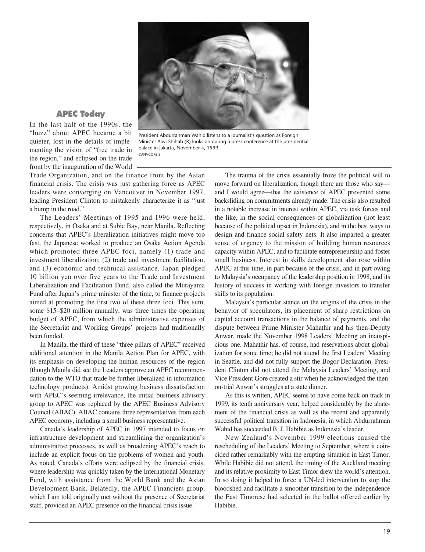

## APEC Today

In the last half of the 1990s, the "buzz" about APEC became a bit quieter, lost in the details of implementing the vision of "free trade in the region," and eclipsed on the trade front by the inauguration of the World

President Abdurrahman Wahid listens to a journalist's question as Foreign Minister Alwi Shihab (R) looks on during a press conference at the presidential palace in Jakarta, November 4, 1999. ©AFP/CORBIS

Trade Organization, and on the finance front by the Asian financial crisis. The crisis was just gathering force as APEC leaders were converging on Vancouver in November 1997, leading President Clinton to mistakenly characterize it as "just a bump in the road."

The Leaders' Meetings of 1995 and 1996 were held, respectively, in Osaka and at Subic Bay, near Manila. Reflecting concerns that APEC's liberalization initiatives might move too fast, the Japanese worked to produce an Osaka Action Agenda which promoted three APEC foci, namely (1) trade and investment liberalization; (2) trade and investment facilitation; and (3) economic and technical assistance. Japan pledged 10 billion yen over five years to the Trade and Investment Liberalization and Facilitation Fund, also called the Murayama Fund after Japan's prime minister of the time, to finance projects aimed at promoting the first two of these three foci. This sum, some \$15–\$20 million annually, was three times the operating budget of APEC, from which the administrative expenses of the Secretariat and Working Groups' projects had traditionally been funded.

In Manila, the third of these "three pillars of APEC" received additional attention in the Manila Action Plan for APEC, with its emphasis on developing the human resources of the region (though Manila did see the Leaders approve an APEC recommendation to the WTO that trade be further liberalized in information technology products). Amidst growing business dissatisfaction with APEC's seeming irrelevance, the initial business advisory group to APEC was replaced by the APEC Business Advisory Council (ABAC). ABAC contains three representatives from each APEC economy, including a small business representative.

Canada's leadership of APEC in 1997 intended to focus on infrastructure development and streamlining the organization's administrative processes, as well as broadening APEC's reach to include an explicit focus on the problems of women and youth. As noted, Canada's efforts were eclipsed by the financial crisis, where leadership was quickly taken by the International Monetary Fund, with assistance from the World Bank and the Asian Development Bank. Belatedly, the APEC Financiers group, which I am told originally met without the presence of Secretariat staff, provided an APEC presence on the financial crisis issue.

The trauma of the crisis essentially froze the political will to move forward on liberalization, though there are those who say and I would agree—that the existence of APEC prevented some backsliding on commitments already made. The crisis also resulted in a notable increase in interest within APEC, via task forces and the like, in the social consequences of globalization (not least because of the political upset in Indonesia), and in the best ways to design and finance social safety nets. It also imparted a greater sense of urgency to the mission of building human resources capacity within APEC, and to facilitate entrepreneurship and foster small business. Interest in skills development also rose within APEC at this time, in part because of the crisis, and in part owing to Malaysia's occupancy of the leadership position in 1998, and its history of success in working with foreign investors to transfer skills to its population.

Malaysia's particular stance on the origins of the crisis in the behavior of speculators, its placement of sharp restrictions on capital account transactions in the balance of payments, and the dispute between Prime Minister Mahathir and his then-Deputy Anwar, made the November 1998 Leaders' Meeting an inauspicious one. Mahathir has, of course, had reservations about globalization for some time; he did not attend the first Leaders' Meeting in Seattle, and did not fully support the Bogor Declaration. President Clinton did not attend the Malaysia Leaders' Meeting, and Vice President Gore created a stir when he acknowledged the thenon-trial Anwar's struggles at a state dinner.

As this is written, APEC seems to have come back on track in 1999, its tenth anniversary year, helped considerably by the abatement of the financial crisis as well as the recent and apparently successful political transition in Indonesia, in which Abdurrahman Wahid has succeeded B. J. Habibie as Indonesia's leader.

New Zealand's November 1999 elections caused the rescheduling of the Leaders' Meeting to September, where it coincided rather remarkably with the erupting situation in East Timor. While Habibie did not attend, the timing of the Auckland meeting and its relative proximity to East Timor drew the world's attention. In so doing it helped to force a UN-led intervention to stop the bloodshed and facilitate a smoother transition to the independence the East Timorese had selected in the ballot offered earlier by Habibie.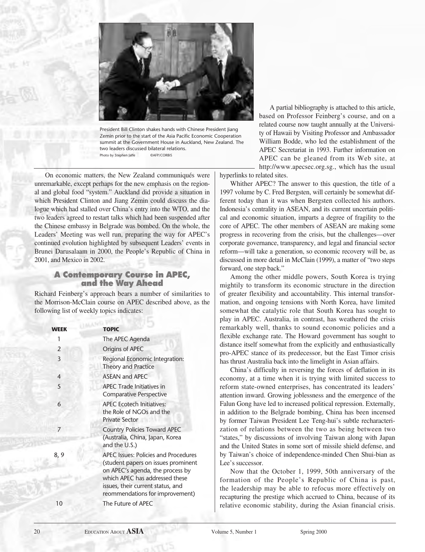

President Bill Clinton shakes hands with Chinese President Jiang Zemin prior to the start of the Asia Pacific Economic Cooperation summit at the Government House in Auckland, New Zealand. The two leaders discussed bilateral relations. Photo by Stephen Jaffe ©AFP/CORBIS

On economic matters, the New Zealand communiqués were unremarkable, except perhaps for the new emphasis on the regional and global food "system." Auckland did provide a situation in which President Clinton and Jiang Zemin could discuss the dialogue which had stalled over China's entry into the WTO, and the two leaders agreed to restart talks which had been suspended after the Chinese embassy in Belgrade was bombed. On the whole, the Leaders' Meeting was well run, preparing the way for APEC's continued evolution highlighted by subsequent Leaders' events in Brunei Darusalaam in 2000, the People's Republic of China in 2001, and Mexico in 2002.

## A Contemporary Course in APEC, and the Way Ahead

Richard Feinberg's approach bears a number of similarities to the Morrison-McClain course on APEC described above, as the following list of weekly topics indicates:

| WEEK           | <b>TOPIC</b>                                                                                                                                                                                                                     |
|----------------|----------------------------------------------------------------------------------------------------------------------------------------------------------------------------------------------------------------------------------|
| 1              | The APEC Agenda                                                                                                                                                                                                                  |
| $\mathcal{P}$  | Origins of APEC                                                                                                                                                                                                                  |
| $\overline{3}$ | Regional Economic Integration:<br>Theory and Practice                                                                                                                                                                            |
| $\overline{4}$ | <b>ASEAN and APEC</b>                                                                                                                                                                                                            |
| 5              | <b>APEC Trade Initiatives in</b><br><b>Comparative Perspective</b>                                                                                                                                                               |
| 6              | <b>APEC Ecotech Initiatives:</b><br>the Role of NGOs and the<br><b>Private Sector</b>                                                                                                                                            |
|                | <b>Country Policies Toward APEC</b><br>(Australia, China, Japan, Korea<br>and the U.S.)                                                                                                                                          |
| 8,9            | <b>APEC Issues: Policies and Procedures</b><br>(student papers on issues prominent<br>on APEC's agenda, the process by<br>which APEC has addressed these<br>issues, their current status, and<br>reommendations for improvement) |
| 10             | The Future of APEC                                                                                                                                                                                                               |
|                |                                                                                                                                                                                                                                  |

A partial bibliography is attached to this article, based on Professor Feinberg's course, and on a related course now taught annually at the University of Hawaii by Visiting Professor and Ambassador William Bodde, who led the establishment of the APEC Secretariat in 1993. Further information on APEC can be gleaned from its Web site, at http://www.apecsec.org.sg., which has the usual

hyperlinks to related sites.

Whither APEC? The answer to this question, the title of a 1997 volume by C. Fred Bergsten, will certainly be somewhat different today than it was when Bergsten collected his authors. Indonesia's centrality in ASEAN, and its current uncertain political and economic situation, imparts a degree of fragility to the core of APEC. The other members of ASEAN are making some progress in recovering from the crisis, but the challenges—over corporate governance, transparency, and legal and financial sector reform—will take a generation, so economic recovery will be, as discussed in more detail in McClain (1999), a matter of "two steps forward, one step back."

Among the other middle powers, South Korea is trying mightily to transform its economic structure in the direction of greater flexibility and accountability. This internal transformation, and ongoing tensions with North Korea, have limited somewhat the catalytic role that South Korea has sought to play in APEC. Australia, in contrast, has weathered the crisis remarkably well, thanks to sound economic policies and a flexible exchange rate. The Howard government has sought to distance itself somewhat from the explicitly and enthusiastically pro-APEC stance of its predecessor, but the East Timor crisis has thrust Australia back into the limelight in Asian affairs.

China's difficulty in reversing the forces of deflation in its economy, at a time when it is trying with limited success to reform state-owned enterprises, has concentrated its leaders' attention inward. Growing joblessness and the emergence of the Falun Gong have led to increased political repression. Externally, in addition to the Belgrade bombing, China has been incensed by former Taiwan President Lee Teng-hui's subtle recharacterization of relations between the two as being between two "states," by discussions of involving Taiwan along with Japan and the United States in some sort of missile shield defense, and by Taiwan's choice of independence-minded Chen Shui-bian as Lee's successor.

Now that the October 1, 1999, 50th anniversary of the formation of the People's Republic of China is past, the leadership may be able to refocus more effectively on recapturing the prestige which accrued to China, because of its relative economic stability, during the Asian financial crisis.